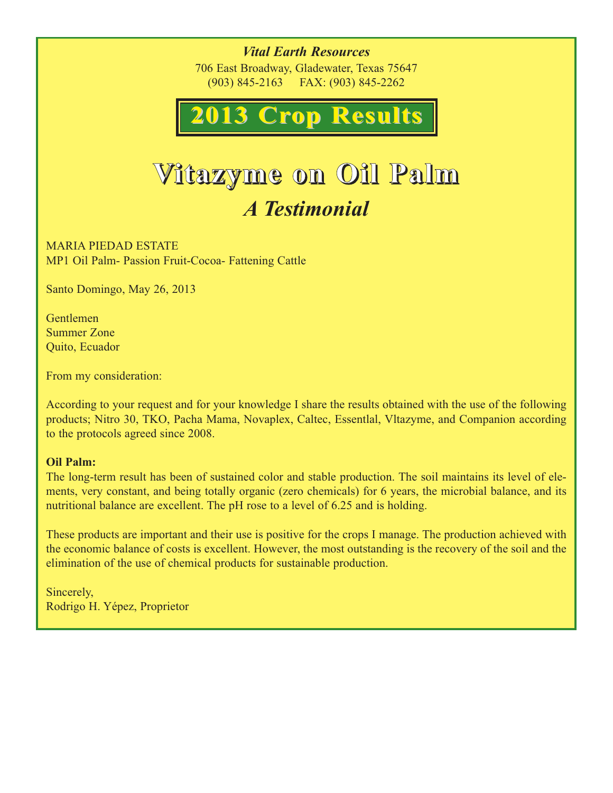*Vital Earth Resources* 706 East Broadway, Gladewater, Texas 75647 (903) 845-2163 FAX: (903) 845-2262



# **Vitazyme on Oil Palm** *A Testimonial*

MARIA PIEDAD ESTATE MP1 Oil Palm- Passion Fruit-Cocoa- Fattening Cattle

Santo Domingo, May 26, 2013

Gentlemen Summer Zone Quito, Ecuador

From my consideration:

According to your request and for your knowledge I share the results obtained with the use of the following products; Nitro 30, TKO, Pacha Mama, Novaplex, Caltec, Essentlal, Vltazyme, and Companion according to the protocols agreed since 2008.

#### **Oil Palm:**

The long-term result has been of sustained color and stable production. The soil maintains its level of elements, very constant, and being totally organic (zero chemicals) for 6 years, the microbial balance, and its nutritional balance are excellent. The pH rose to a level of 6.25 and is holding.

These products are important and their use is positive for the crops I manage. The production achieved with the economic balance of costs is excellent. However, the most outstanding is the recovery of the soil and the elimination of the use of chemical products for sustainable production.

Sincerely, Rodrigo H. Yépez, Proprietor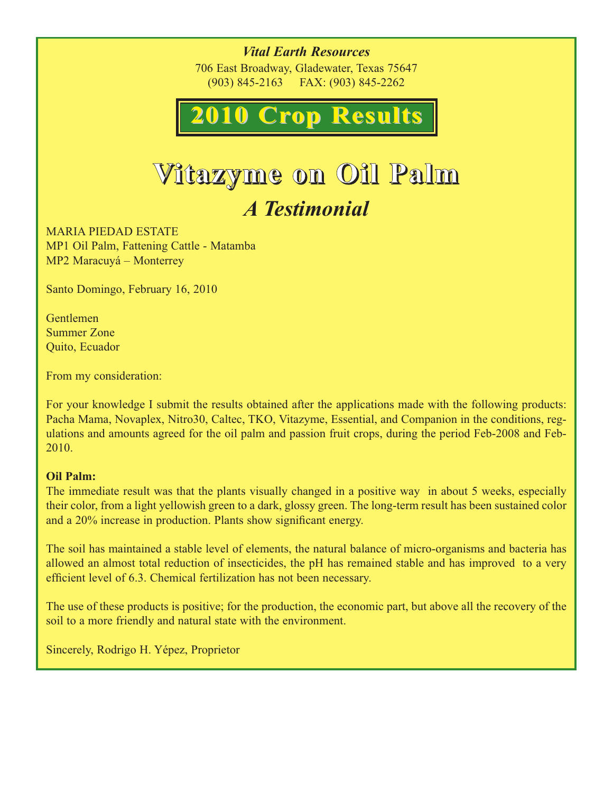*Vital Earth Resources* 706 East Broadway, Gladewater, Texas 75647 (903) 845-2163 FAX: (903) 845-2262



# **Vitazyme on Oil Palm** *A Testimonial*

MARIA PIEDAD ESTATE MP1 Oil Palm, Fattening Cattle - Matamba MP2 Maracuyá – Monterrey

Santo Domingo, February 16, 2010

Gentlemen Summer Zone Quito, Ecuador

From my consideration:

For your knowledge I submit the results obtained after the applications made with the following products: Pacha Mama, Novaplex, Nitro30, Caltec, TKO, Vitazyme, Essential, and Companion in the conditions, regulations and amounts agreed for the oil palm and passion fruit crops, during the period Feb-2008 and Feb-2010.

#### **Oil Palm:**

The immediate result was that the plants visually changed in a positive way in about 5 weeks, especially their color, from a light yellowish green to a dark, glossy green. The long-term result has been sustained color and a 20% increase in production. Plants show significant energy.

The soil has maintained a stable level of elements, the natural balance of micro-organisms and bacteria has allowed an almost total reduction of insecticides, the pH has remained stable and has improved to a very efficient level of 6.3. Chemical fertilization has not been necessary.

The use of these products is positive; for the production, the economic part, but above all the recovery of the soil to a more friendly and natural state with the environment.

Sincerely, Rodrigo H. Yépez, Proprietor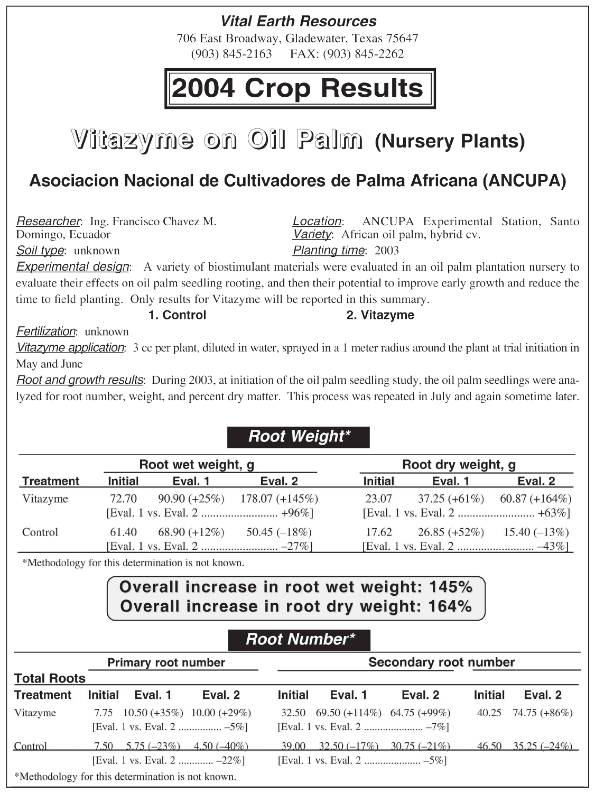### **Vital Earth Resources**

706 East Broadway, Gladewater, Texas 75647  $(903)$  845-2163 FAX: (903) 845-2262

# 2004 Crop Results

# **Vitazyme on Oil Palm (Nursery Plants)**

## Asociacion Nacional de Cultivadores de Palma Africana (ANCUPA)

Researcher. Ing. Francisco Chavez M. Domingo, Ecuador

Soil type: unknown

ANCUPA Experimental Station, Santo Location: Variety: African oil palm, hybrid cv.

Planting time: 2003

**Experimental design:** A variety of biostimulant materials were evaluated in an oil palm plantation nursery to evaluate their effects on oil palm seedling rooting, and then their potential to improve early growth and reduce the time to field planting. Only results for Vitazyme will be reported in this summary.

1. Control

#### 2. Vitazyme

Fertilization: unknown

Vitazyme application: 3 cc per plant, diluted in water, sprayed in a 1 meter radius around the plant at trial initiation in May and June

Root and growth results: During 2003, at initiation of the oil palm seedling study, the oil palm seedlings were analyzed for root number, weight, and percent dry matter. This process was repeated in July and again sometime later.

#### **Root Weight\***

| Root wet weight, g |                |                 |                                   | Root dry weight, g |                 |                              |  |
|--------------------|----------------|-----------------|-----------------------------------|--------------------|-----------------|------------------------------|--|
| Treatment          | <b>Initial</b> | Eval. 1         | Eval. 2                           | <b>Initial</b>     | Eval. 1         | Eval. 2                      |  |
| Vitazyme           | 72.70          |                 | 90.90 $(+25\%)$ 178.07 $(+145\%)$ | 23.07              | $37.25 (+61\%)$ | $60.87 (+164\%)$             |  |
| Control            | 61.40          | $68.90 (+12\%)$ | 50.45 $(-18\%)$                   | 17.62              |                 | $26.85 (+52\%)$ 15.40 (-13%) |  |

\*Methodology for this determination is not known.

### Overall increase in root wet weight: 145% Overall increase in root dry weight: 164%

### **Root Number\***

| <b>Primary root number</b>                        |                                                                    |               |                | Secondary root number              |         |         |                           |  |
|---------------------------------------------------|--------------------------------------------------------------------|---------------|----------------|------------------------------------|---------|---------|---------------------------|--|
| <b>Total Roots</b>                                |                                                                    |               |                |                                    |         |         |                           |  |
| <b>Treatment</b>                                  | Eval. 1<br><b>Initial</b>                                          | Eval. 2       | <b>Initial</b> | Eval. 1                            | Eval. 2 | Initial | Eval. 2                   |  |
| Vitazyme                                          | 7.75 10.50 $(+35\%)$ 10.00 $(+29\%)$<br>[Eval. 1 vs. Eval. 2  -5%] |               |                | $32.50$ 69.50 (+114%) 64.75 (+99%) |         |         | 40.25 74.75 $(+86\%)$     |  |
| Control                                           | $7.50 \quad 5.75 \; (-23\%)$<br>[Eval. 1 vs. Eval. 2  -22%]        | $4.50(-40\%)$ | 39.00          | $32.50(-17\%)$ $30.75(-21\%)$      |         |         | $46.50$ $35.25$ $(-24\%)$ |  |
| *Methodology for this determination is not known. |                                                                    |               |                |                                    |         |         |                           |  |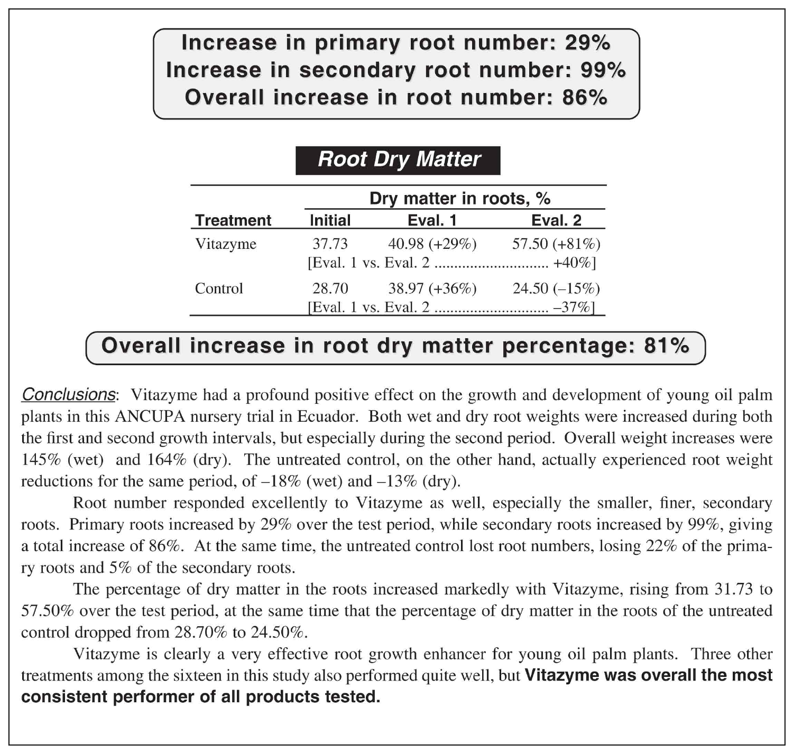Increase in primary root number: 29% Increase in secondary root number: 99% Overall increase in root number: 86%

### **Root Dry Matter**

|                  | Dry matter in roots, % |                 |                 |  |  |
|------------------|------------------------|-----------------|-----------------|--|--|
| <b>Treatment</b> | <b>Initial</b>         | Eval. 1         | Eval. 2         |  |  |
| Vitazyme         | 37.73                  | 40.98 $(+29\%)$ | 57.50 $(+81\%)$ |  |  |
| Control          | 28.70                  | $38.97 (+36%)$  | 24.50 $(-15\%)$ |  |  |

#### Overall increase in root dry matter percentage: 81%

**Conclusions:** Vitazyme had a profound positive effect on the growth and development of young oil palm plants in this ANCUPA nursery trial in Ecuador. Both wet and dry root weights were increased during both the first and second growth intervals, but especially during the second period. Overall weight increases were 145% (wet) and 164% (dry). The untreated control, on the other hand, actually experienced root weight reductions for the same period, of  $-18\%$  (wet) and  $-13\%$  (dry).

Root number responded excellently to Vitazyme as well, especially the smaller, finer, secondary roots. Primary roots increased by 29% over the test period, while secondary roots increased by 99%, giving a total increase of 86%. At the same time, the untreated control lost root numbers, losing 22% of the primary roots and 5% of the secondary roots.

The percentage of dry matter in the roots increased markedly with Vitazyme, rising from 31.73 to 57.50% over the test period, at the same time that the percentage of dry matter in the roots of the untreated control dropped from  $28.70\%$  to  $24.50\%$ .

Vitazyme is clearly a very effective root growth enhancer for young oil palm plants. Three other treatments among the sixteen in this study also performed quite well, but Vitazyme was overall the most consistent performer of all products tested.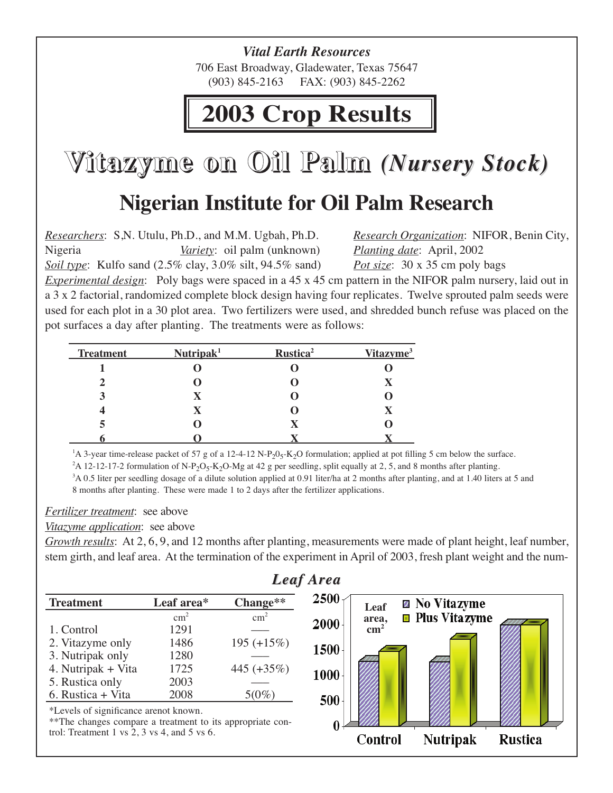*Vital Earth Resources* 706 East Broadway, Gladewater, Texas 75647 (903) 845-2163 FAX: (903) 845-2262

# **2003 Crop Results**

**Vitazyme on Oil Palm** *(Nursery Stock (Nursery Stock)*

# **Nigerian Institute for Oil Palm Research**

*Researchers*: S,N. Utulu, Ph.D., and M.M. Ugbah, Ph.D. *Research Organization*: NIFOR, Benin City, Nigeria *Variety*: oil palm (unknown) *Planting date*: April, 2002 *Soil type*: Kulfo sand (2.5% clay, 3.0% silt, 94.5% sand) *Pot size*: 30 x 35 cm poly bags

*Experimental design*: Poly bags were spaced in a 45 x 45 cm pattern in the NIFOR palm nursery, laid out in a 3 x 2 factorial, randomized complete block design having four replicates. Twelve sprouted palm seeds were used for each plot in a 30 plot area. Two fertilizers were used, and shredded bunch refuse was placed on the pot surfaces a day after planting. The treatments were as follows:

| <b>Treatment</b> | Nutripak <sup>1</sup> | Rustica <sup>2</sup> | Vitazyme <sup>3</sup> |
|------------------|-----------------------|----------------------|-----------------------|
|                  |                       |                      |                       |
|                  |                       |                      |                       |
|                  |                       |                      |                       |
|                  |                       |                      |                       |
|                  |                       |                      |                       |
|                  |                       |                      |                       |

<sup>1</sup>A 3-year time-release packet of 57 g of a 12-4-12 N-P<sub>2</sub>0<sub>5</sub>-K<sub>2</sub>O formulation; applied at pot filling 5 cm below the surface.

<sup>2</sup>A 12-12-17-2 formulation of N-P<sub>2</sub>O<sub>5</sub>-K<sub>2</sub>O-Mg at 42 g per seedling, split equally at 2, 5, and 8 months after planting.

3 A 0.5 liter per seedling dosage of a dilute solution applied at 0.91 liter/ha at 2 months after planting, and at 1.40 liters at 5 and 8 months after planting. These were made 1 to 2 days after the fertilizer applications.

#### *Fertilizer treatment*: see above

#### *Vitazyme application*: see above

*Growth results*: At 2, 6, 9, and 12 months after planting, measurements were made of plant height, leaf number, stem girth, and leaf area. At the termination of the experiment in April of 2003, fresh plant weight and the num-

|                                                           |               |               | <b>Leaf Area</b> |                 |                              |  |  |
|-----------------------------------------------------------|---------------|---------------|------------------|-----------------|------------------------------|--|--|
| <b>Treatment</b>                                          | Leaf area*    | Change**      | 2500             | Leaf            | <b>Z</b> No Vitazyme         |  |  |
|                                                           | $\text{cm}^2$ | $\text{cm}^2$ | 2000             | area,           | $\blacksquare$ Plus Vitazyme |  |  |
| 1. Control                                                | 1291          |               |                  | $\text{cm}^2$   |                              |  |  |
| 2. Vitazyme only                                          | 1486          | $195 (+15%)$  | 1500             |                 |                              |  |  |
| 3. Nutripak only                                          | 1280          |               |                  |                 |                              |  |  |
| 4. Nutripak + Vita                                        | 1725          | 445 $(+35\%)$ | 1000             |                 |                              |  |  |
| 5. Rustica only                                           | 2003          |               |                  |                 |                              |  |  |
| 6. Rustica + Vita                                         | 2008          | $5(0\%)$      | 500              |                 |                              |  |  |
| *Levels of significance arenot known.                     |               |               |                  |                 |                              |  |  |
| **The changes compare a treatment to its appropriate con- |               |               |                  |                 |                              |  |  |
| trol: Treatment 1 vs $2$ , $3$ vs $4$ , and $5$ vs $6$ .  |               |               | Control          | <b>Nutripak</b> | Rustica                      |  |  |